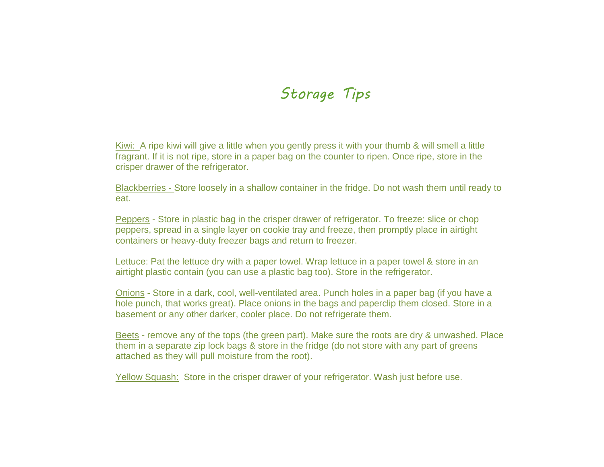## *Storage Tips*

Kiwi: A ripe kiwi will give a little when you gently press it with your thumb & will smell a little fragrant. If it is not ripe, store in a paper bag on the counter to ripen. Once ripe, store in the crisper drawer of the refrigerator.

Blackberries - Store loosely in a shallow container in the fridge. Do not wash them until ready to eat.

Peppers - Store in plastic bag in the crisper drawer of refrigerator. To freeze: slice or chop peppers, spread in a single layer on cookie tray and freeze, then promptly place in airtight containers or heavy-duty freezer bags and return to freezer.

Lettuce: Pat the lettuce dry with a paper towel. Wrap lettuce in a paper towel & store in an airtight plastic contain (you can use a plastic bag too). Store in the refrigerator.

Onions - Store in a dark, cool, well-ventilated area. Punch holes in a paper bag (if you have a hole punch, that works great). Place onions in the bags and paperclip them closed. Store in a basement or any other darker, cooler place. Do not refrigerate them.

Beets - remove any of the tops (the green part). Make sure the roots are dry & unwashed. Place them in a separate zip lock bags & store in the fridge (do not store with any part of greens attached as they will pull moisture from the root).

Yellow Squash: Store in the crisper drawer of your refrigerator. Wash just before use.